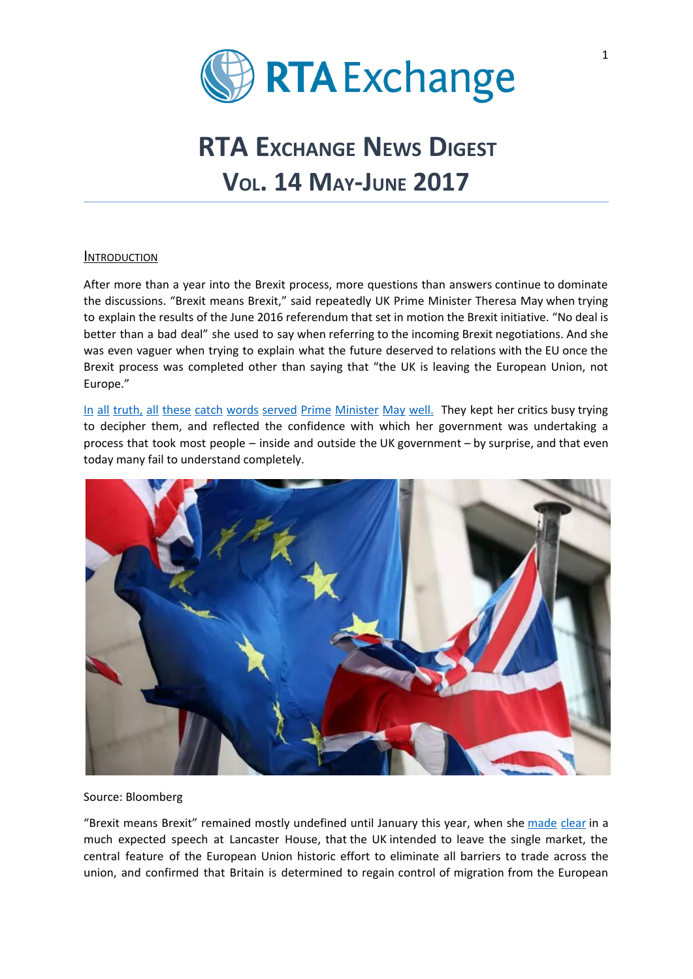

# **RTA EXCHANGE NEWS** DIGEST **VOL. 14 MAY-JUNE 2017**

### **INTRODUCTION**

After more than a year into the Brexit process, more questions than answers continue to dominate the discussions. "Brexit means Brexit," said repeatedly UK Prime Minister Theresa May when trying to explain the results of the June 2016 referendum that set in motion the Brexit initiative. "No deal is better than a bad deal" she used to say when referring to the incoming Brexit negotiations. And she was even vaguer when trying to explain what the future deserved to relations with the EU once the Brexit process was completed other than saying that "the UK is leaving the European Union, not Europe."

In all truth, all these catch words served Prime [Minister](http://www.economist.com/news/leaders/21713837-after-six-months-what-new-prime-minister-stands-still-unclearperhaps-even?cid1=cust/ednew/n/bl/n/2017015n/owned/n/n/nwl/n/n/E/8532313/n) May well. They kept her critics busy trying to decipher them, and reflected the confidence with which her government was undertaking a process that took most people – inside and outside the UK government – by surprise, and that even today many fail to understand completely.



Source: Bloomberg

"Brexit means Brexit" remained mostly [undefined](http://www.economist.com/news/leaders/21713837-after-six-months-what-new-prime-minister-stands-still-unclearperhaps-even?cid1=cust/ednew/n/bl/n/2017015n/owned/n/n/nwl/n/n/E/8532313/n) until January this year, when she [made](https://www.nytimes.com/2017/01/17/world/europe/brexit-theresa-may-uk-eu.html) clear in a much expected speech at Lancaster House, that the UK intended to leave the single market, the central feature of the European Union historic effort to eliminate all barriers to trade across the union, and confirmed that Britain is determined to regain control of migration from the European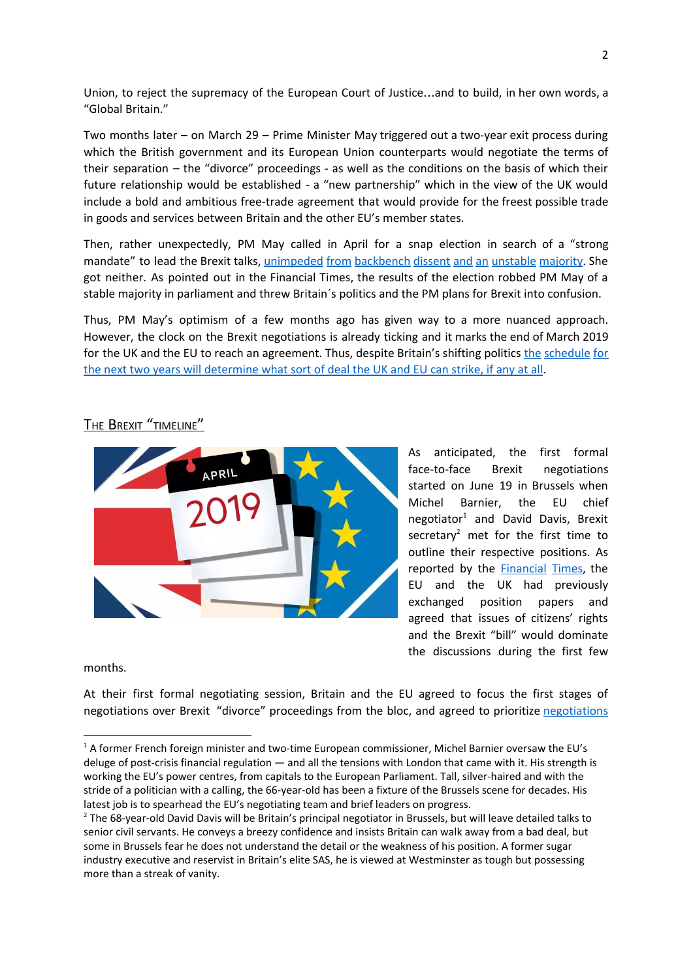Union, to reject the supremacy of the European Court of Justice…and to build, in her own words, a "Global Britain."

Two months later – on March 29 – Prime Minister May triggered out a two-year exit process during which the British government and its European Union counterparts would negotiate the terms of their separation – the "divorce" proceedings - as well as the conditions on the basis of which their future relationship would be established - a "new partnership" which in the view of the UK would include a bold and ambitious free-trade agreement that would provide for the freest possible trade in goods and services between Britain and the other EU's member states.

Then, rather unexpectedly, PM May called in April for a snap election in search of a "strong mandate" to lead the Brexit talks, [unimpeded](https://www.ft.com/content/6f3f63d2-54fb-11e7-9fed-c19e2700005f?desktop=true&conceptId=05bfed9c-e2aa-314d-99c0-d864f1c91428&segmentId=dd5c99e9-30be-ddd0-c634-ff3a0c2b738f#myft:notification:daily-email:content:headline:html) from backbench dissent and an unstable majority. She got neither. As pointed out in the Financial Times, the results of the election robbed PM May of a stable majority in parliament and threw Britain´s politics and the PM plans for Brexit into confusion.

Thus, PM May's optimism of a few months ago has given way to a more nuanced approach. However, the clock on the Brexit negotiations is already ticking and it marks the end of March 2019 for the UK and the EU to reach an agreement. Thus, despite Britain's shifting politics the [schedule](https://www.ft.com/content/64e7f218-4ad4-11e7-919a-1e14ce4af89b) for the next two years will [determine](https://www.ft.com/content/64e7f218-4ad4-11e7-919a-1e14ce4af89b) what sort of deal the UK and EU can strike, if any at all.



## THE BREXIT "TIMELINE"

As anticipated, the first formal face-to-face Brexit negotiations started on June 19 in Brussels when Michel Barnier, the EU chief negotiator<sup>1</sup> and David Davis, Brexit secretary<sup>2</sup> met for the first time to outline their respective positions. As reported by the **[Financial](https://www.ft.com/content/64e7f218-4ad4-11e7-919a-1e14ce4af89b) Times**, the EU and the UK had previously exchanged position papers and agreed that issues of citizens' rights and the Brexit "bill" would dominate the discussions during the first few

months.

At their first formal negotiating session, Britain and the EU agreed to focus the first stages of [negotiations](https://www.ft.com/content/db2716aa-5026-11e7-a1f2-db19572361bb) over Brexit "divorce" proceedings from the bloc, and agreed to prioritize negotiations

 $1$  A former French foreign minister and two-time European commissioner, Michel Barnier oversaw the EU's deluge of post-crisis financial regulation — and all the tensions with London that came with it. His strength is working the EU's power centres, from capitals to the European Parliament. Tall, silver-haired and with the stride of a politician with a calling, the 66-year-old has been a fixture of the Brussels scene for decades. His latest job is to spearhead the EU's negotiating team and brief leaders on progress.

<sup>&</sup>lt;sup>2</sup> The 68-year-old David Davis will be Britain's principal negotiator in Brussels, but will leave detailed talks to senior civil servants. He conveys a breezy confidence and insists Britain can walk away from a bad deal, but some in Brussels fear he does not understand the detail or the weakness of his position. A former sugar industry executive and reservist in Britain's elite SAS, he is viewed at Westminster as tough but possessing more than a streak of vanity.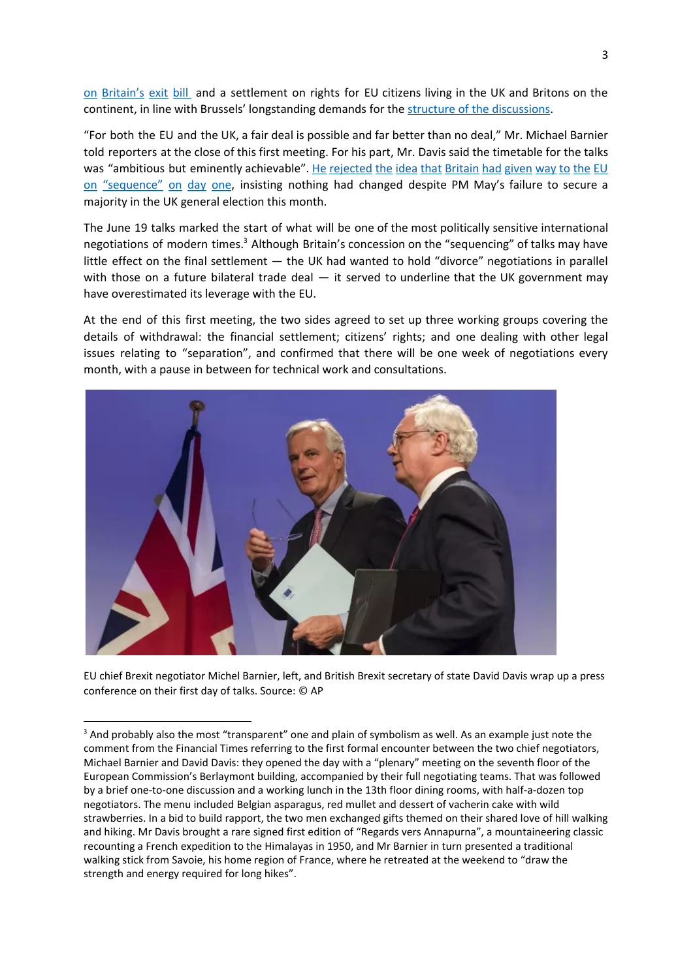on [Britain's](https://www.ft.com/content/db2716aa-5026-11e7-a1f2-db19572361bb) exit bill and a settlement on rights for EU citizens living in the UK and Britons on the continent, in line with Brussels' longstanding demands for the structure of the [discussions.](https://www.ft.com/content/34b704a0-54d7-11e7-9fed-c19e2700005f?desktop=true&conceptId=05bfed9c-e2aa-314d-99c0-d864f1c91428&segmentId=dd5c99e9-30be-ddd0-c634-ff3a0c2b738f#myft:notification:daily-email:content:headline:html)

"For both the EU and the UK, a fair deal is possible and far better than no deal," Mr. Michael Barnier told reporters at the close of this first meeting. For his part, Mr. Davis said the timetable for the talks was "ambitious but eminently achievable". He [rejected](https://www.ft.com/content/34b704a0-54d7-11e7-9fed-c19e2700005f?desktop=true&conceptId=05bfed9c-e2aa-314d-99c0-d864f1c91428&segmentId=dd5c99e9-30be-ddd0-c634-ff3a0c2b738f#myft:notification:daily-email:content:headline:html) the idea that Britain had given way to the EU on ["sequence"](https://www.ft.com/content/34b704a0-54d7-11e7-9fed-c19e2700005f?desktop=true&conceptId=05bfed9c-e2aa-314d-99c0-d864f1c91428&segmentId=dd5c99e9-30be-ddd0-c634-ff3a0c2b738f#myft:notification:daily-email:content:headline:html) on day one, insisting nothing had changed despite PM May's failure to secure a majority in the UK general election this month.

The June 19 talks marked the start of what will be one of the most politically sensitive international negotiations of modern times.<sup>3</sup> Although Britain's concession on the "sequencing" of talks may have little effect on the final settlement — the UK had wanted to hold "divorce" negotiations in parallel with those on a future bilateral trade deal  $-$  it served to underline that the UK government may have overestimated its leverage with the EU.

At the end of this first meeting, the two sides agreed to set up three working groups covering the details of withdrawal: the financial settlement; citizens' rights; and one dealing with other legal issues relating to "separation", and confirmed that there will be one week of negotiations every month, with a pause in between for technical work and consultations.



EU chief Brexit negotiator Michel Barnier, left, and British Brexit secretary of state David Davis wrap up a press conference on their first day of talks. Source: © AP

<sup>&</sup>lt;sup>3</sup> And probably also the most "transparent" one and plain of symbolism as well. As an example just note the comment from the Financial Times referring to the first formal encounter between the two chief negotiators, Michael Barnier and David Davis: they opened the day with a "plenary" meeting on the seventh floor of the European Commission's Berlaymont building, accompanied by their full negotiating teams. That was followed by a brief one-to-one discussion and a working lunch in the 13th floor dining rooms, with half-a-dozen top negotiators. The menu included Belgian asparagus, red mullet and dessert of vacherin cake with wild strawberries. In a bid to build rapport, the two men exchanged gifts themed on their shared love of hill walking and hiking. Mr Davis brought a rare signed first edition of "Regards vers Annapurna", a mountaineering classic recounting a French expedition to the Himalayas in 1950, and Mr Barnier in turn presented a traditional walking stick from Savoie, his home region of France, where he retreated at the weekend to "draw the strength and energy required for long hikes".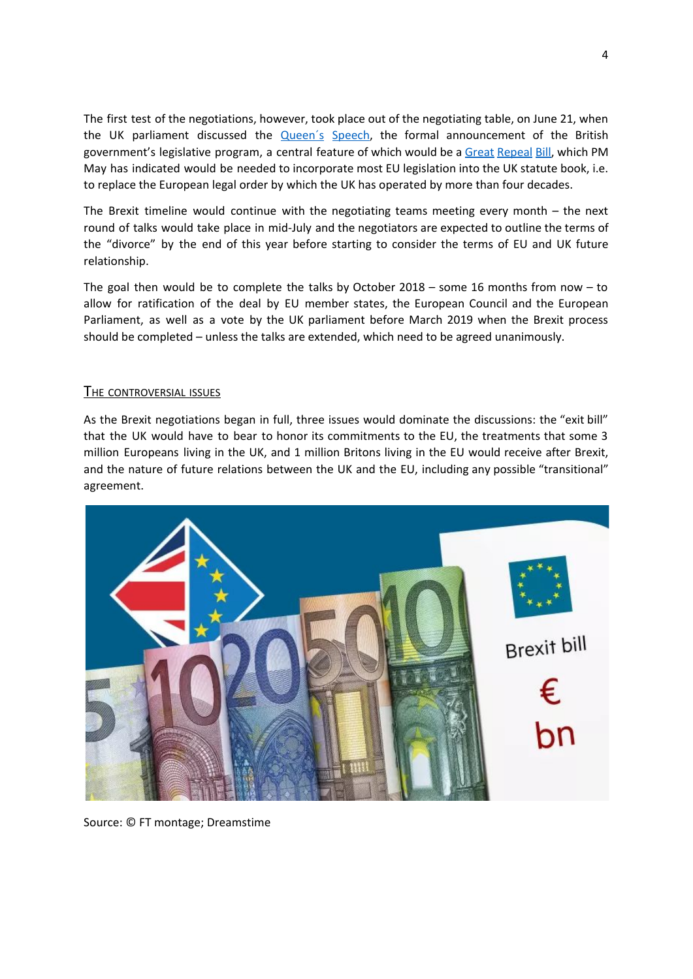The first test of the negotiations, however, took place out of the negotiating table, on June 21, when the UK parliament discussed the **Queen's Speech**, the formal announcement of the British government's legislative program, a central feature of which would be a Great [Repeal](https://www.ft.com/content/64e7f218-4ad4-11e7-919a-1e14ce4af89b) Bill, which PM May has indicated would be needed to incorporate most EU legislation into the UK statute book, i.e. to replace the European legal order by which the UK has operated by more than four decades.

The Brexit timeline would continue with the negotiating teams meeting every month – the next round of talks would take place in mid-July and the negotiators are expected to outline the terms of the "divorce" by the end of this year before starting to consider the terms of EU and UK future relationship.

The goal then would be to complete the talks by October 2018 – some 16 months from now – to allow for ratification of the deal by EU member states, the European Council and the European Parliament, as well as a vote by the UK parliament before March 2019 when the Brexit process should be completed – unless the talks are extended, which need to be agreed unanimously.

## THE CONTROVERSIAL ISSUES

As the Brexit negotiations began in full, three issues would dominate the discussions: the "exit bill" that the UK would have to bear to honor its commitments to the EU, the treatments that some 3 million Europeans living in the UK, and 1 million Britons living in the EU would receive after Brexit, and the nature of future relations between the UK and the EU, including any possible "transitional" agreement.



Source: © FT montage; Dreamstime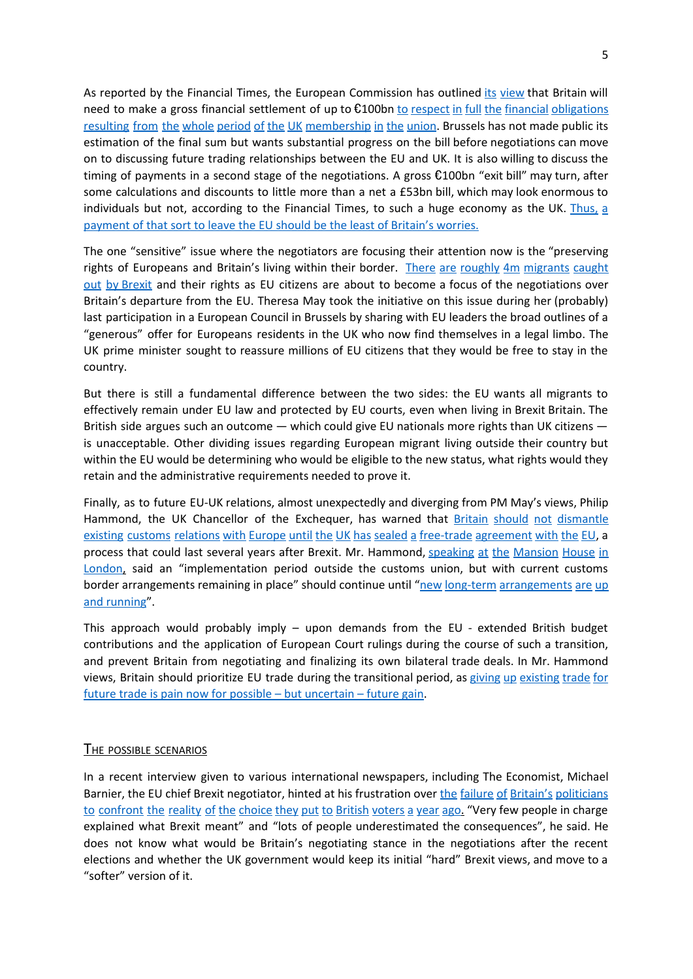As reported by the Financial Times, the European Commission has outlined its [view](https://ec.europa.eu/commission/sites/beta-political/files/financial-settlement-essential-principles-draft-position-paper_en.pdf) that Britain will need to make a gross financial settlement of up to €100bn to respect in full the financial [obligations](https://www.ft.com/content/db2716aa-5026-11e7-a1f2-db19572361bb) resulting from the whole period of the UK [membership](https://www.ft.com/content/db2716aa-5026-11e7-a1f2-db19572361bb) in the union. Brussels has not made public its estimation of the final sum but wants substantial progress on the bill before negotiations can move on to discussing future trading relationships between the EU and UK. It is also willing to discuss the timing of payments in a second stage of the negotiations. A gross  $\epsilon$ 100bn "exit bill" may turn, after some calculations and discounts to little more than a net a £53bn bill, which may look enormous to individuals but not, according to the Financial Times, to such a huge economy as the UK. [Thus,](https://www.ft.com/content/db2716aa-5026-11e7-a1f2-db19572361bb)  $\frac{1}{2}$ [payment](https://www.ft.com/content/db2716aa-5026-11e7-a1f2-db19572361bb) of that sort to leave the EU should be the least of Britain's worries.

The one "sensitive" issue where the negotiators are focusing their attention now is the "preserving rights of Europeans and Britain's living within their border. There are roughly 4m [migrants](https://www.ft.com/content/6d97756c-4c2a-11e7-919a-1e14ce4af89b) caught out by [Brexit](https://www.ft.com/content/6d97756c-4c2a-11e7-919a-1e14ce4af89b) and their rights as EU citizens are about to become a focus of the negotiations over Britain's departure from the EU. Theresa May took the initiative on this issue during her (probably) last participation in a European Council in Brussels by sharing with EU leaders the broad outlines of a "generous" offer for Europeans residents in the UK who now find themselves in a legal limbo. The UK prime minister sought to reassure millions of EU citizens that they would be free to stay in the country.

But there is still a fundamental difference between the two sides: the EU wants all migrants to effectively remain under EU law and protected by EU courts, even when living in Brexit Britain. The British side argues such an outcome — which could give EU nationals more rights than UK citizens is unacceptable. Other dividing issues regarding European migrant living outside their country but within the EU would be determining who would be eligible to the new status, what rights would they retain and the administrative requirements needed to prove it.

Finally, as to future EU-UK relations, almost unexpectedly and diverging from PM May's views, Philip Hammond, the UK Chancellor of the Exchequer, has warned that **Britain should not [dismantle](https://www.ft.com/content/88bd9268-55ad-11e7-80b6-9bfa4c1f83d2?desktop=true&conceptId=05bfed9c-e2aa-314d-99c0-d864f1c91428&segmentId=dd5c99e9-30be-ddd0-c634-ff3a0c2b738f#myft:notification:daily-email:content:headline:html)** existing customs relations with Europe until the UK has sealed a free-trade [agreement](https://www.ft.com/content/88bd9268-55ad-11e7-80b6-9bfa4c1f83d2?desktop=true&conceptId=05bfed9c-e2aa-314d-99c0-d864f1c91428&segmentId=dd5c99e9-30be-ddd0-c634-ff3a0c2b738f#myft:notification:daily-email:content:headline:html) with the EU, a process that could last several years after Brexit. Mr. Hammond, [speaking](https://www.ft.com/content/3756dc5a-558e-11e7-9fed-c19e2700005f) at the Mansion House in [London,](https://www.ft.com/content/3756dc5a-558e-11e7-9fed-c19e2700005f) said an "implementation period outside the customs union, but with current customs border [arrangements](https://www.ft.com/content/88bd9268-55ad-11e7-80b6-9bfa4c1f83d2?desktop=true&conceptId=05bfed9c-e2aa-314d-99c0-d864f1c91428&segmentId=dd5c99e9-30be-ddd0-c634-ff3a0c2b738f#myft:notification:daily-email:content:headline:html) remaining in place" should continue until "new long-term arrangements are up and [running](https://www.ft.com/content/88bd9268-55ad-11e7-80b6-9bfa4c1f83d2?desktop=true&conceptId=05bfed9c-e2aa-314d-99c0-d864f1c91428&segmentId=dd5c99e9-30be-ddd0-c634-ff3a0c2b738f#myft:notification:daily-email:content:headline:html)".

This approach would probably imply – upon demands from the EU - extended British budget contributions and the application of European Court rulings during the course of such a transition, and prevent Britain from negotiating and finalizing its own bilateral trade deals. In Mr. Hammond views, Britain should prioritize EU trade during the transitional period, as giving up [existing](https://www.ft.com/content/88bd9268-55ad-11e7-80b6-9bfa4c1f83d2?desktop=true&conceptId=05bfed9c-e2aa-314d-99c0-d864f1c91428&segmentId=dd5c99e9-30be-ddd0-c634-ff3a0c2b738f#myft:notification:daily-email:content:headline:html) trade for future trade is pain now for possible – but [uncertain](https://www.ft.com/content/88bd9268-55ad-11e7-80b6-9bfa4c1f83d2?desktop=true&conceptId=05bfed9c-e2aa-314d-99c0-d864f1c91428&segmentId=dd5c99e9-30be-ddd0-c634-ff3a0c2b738f#myft:notification:daily-email:content:headline:html) – future gain.

#### **THE POSSIBLE SCENARIOS**

In a recent interview given to various international newspapers, including The Economist, Michael Barnier, the EU chief Brexit negotiator, hinted at his frustration over the failure of Britain's [politicians](http://www.economist.com/news/europe/21723341-eus-lead-negotiator-warns-time-talks-running-short-michel-barnier-impatient?cid1=cust/ddnew/n/n/n/20170613n/owned/n/n/nwl/n/n/E/Daily_Dispatch/email&etear=dailydispatch) to [confront](http://www.economist.com/news/europe/21723341-eus-lead-negotiator-warns-time-talks-running-short-michel-barnier-impatient?cid1=cust/ddnew/n/n/n/20170613n/owned/n/n/nwl/n/n/E/Daily_Dispatch/email&etear=dailydispatch) the reality of the choice they put to British voters a year ago. "Very few people in charge explained what Brexit meant" and "lots of people underestimated the consequences", he said. He does not know what would be Britain's negotiating stance in the negotiations after the recent elections and whether the UK government would keep its initial "hard" Brexit views, and move to a "softer" version of it.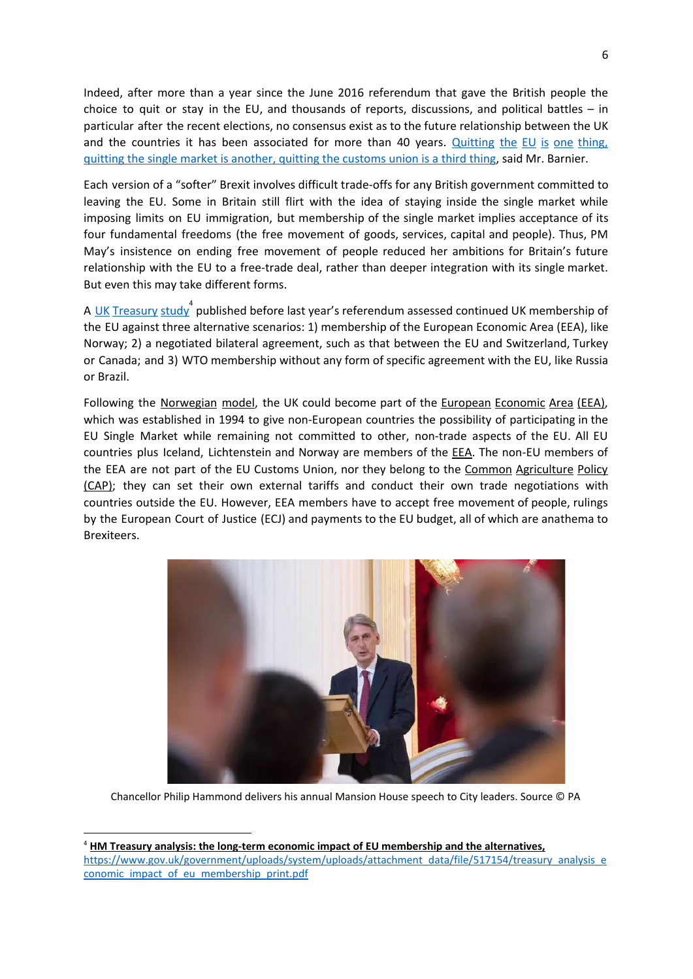Indeed, after more than a year since the June 2016 referendum that gave the British people the choice to quit or stay in the EU, and thousands of reports, discussions, and political battles  $-$  in particular after the recent elections, no consensus exist as to the future relationship between the UK and the countries it has been associated for more than 40 years. [Quitting](http://www.economist.com/news/europe/21723341-eus-lead-negotiator-warns-time-talks-running-short-michel-barnier-impatient?cid1=cust/ddnew/n/n/n/20170613n/owned/n/n/nwl/n/n/E/Daily_Dispatch/email&etear=dailydispatch) the EU is one thing, quitting the single market is [another,](http://www.economist.com/news/europe/21723341-eus-lead-negotiator-warns-time-talks-running-short-michel-barnier-impatient?cid1=cust/ddnew/n/n/n/20170613n/owned/n/n/nwl/n/n/E/Daily_Dispatch/email&etear=dailydispatch) quitting the customs union is a third thing, said Mr. Barnier.

Each version of a "softer" Brexit involves difficult trade-offs for any British government committed to leaving the EU. Some in Britain still flirt with the idea of staying inside the single market while imposing limits on EU immigration, but membership of the single market implies acceptance of its four fundamental freedoms (the free movement of goods, services, capital and people). Thus, PM May's insistence on ending free movement of people reduced her ambitions for Britain's future relationship with the EU to a free-trade deal, rather than deeper integration with its single market. But even this may take different forms.

[A](https://www.gov.uk/government/publications/hm-treasury-analysis-the-long-term-economic-impact-of-eu-membership-and-the-alternatives) <u>UK [Treasury](https://www.gov.uk/government/publications/hm-treasury-analysis-the-long-term-economic-impact-of-eu-membership-and-the-alternatives) study</u><sup>4</sup> published before last year's referendum assessed continued UK membership of the EU against three alternative scenarios: 1) membership of the European Economic Area (EEA), like Norway; 2) a negotiated bilateral agreement, such as that between the EU and Switzerland, Turkey or Canada; and 3) WTO membership without any form of specific agreement with the EU, like Russia or Brazil.

Following the Norwegian model, the UK could become part of the European Economic Area (EEA), which was established in 1994 to give non-European countries the possibility of participating in the EU Single Market while remaining not committed to other, non-trade aspects of the EU. All EU countries plus Iceland, Lichtenstein and Norway are members of the **EEA**. The non-EU members of the EEA are not part of the EU Customs Union, nor they belong to the Common Agriculture Policy (CAP); they can set their own external tariffs and conduct their own trade negotiations with countries outside the EU. However, EEA members have to accept free movement of people, rulings by the European Court of Justice (ECJ) and payments to the EU budget, all of which are anathema to Brexiteers.



Chancellor Philip Hammond delivers his annual Mansion House speech to City leaders. Source © PA

<sup>4</sup> **HM Treasury analysis: the long-term economic impact of EU membership and the alternatives,** [https://www.gov.uk/government/uploads/system/uploads/attachment\\_data/file/517154/treasury\\_analysis\\_e](https://www.gov.uk/government/uploads/system/uploads/attachment_data/file/517154/treasury_analysis_economic_impact_of_eu_membership_print.pdf) conomic impact of eu membership print.pdf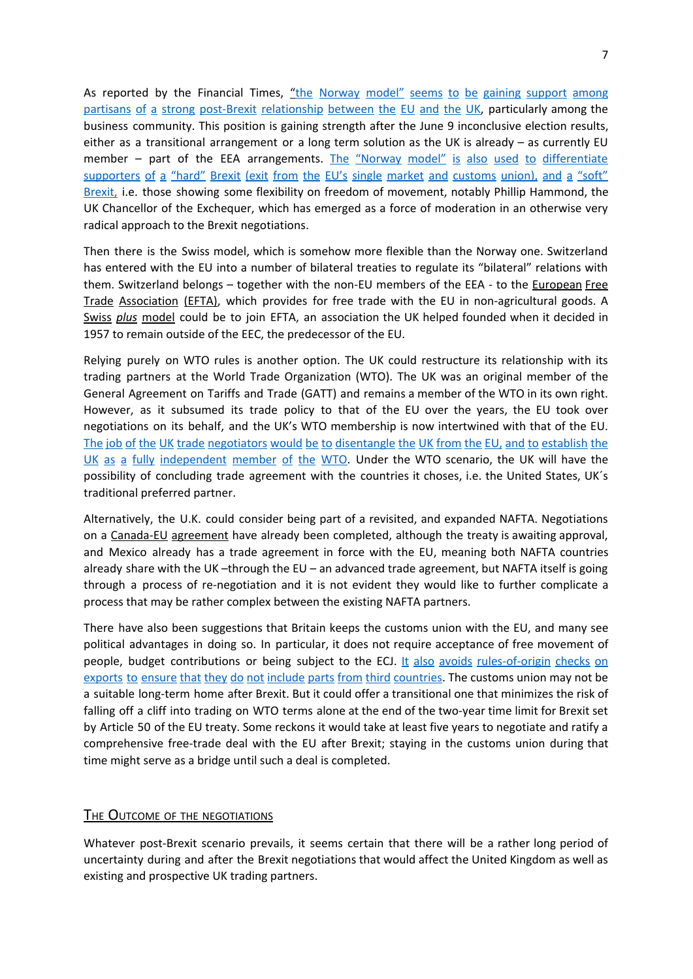As reported by the Financial Times, "the Norway model" seems to be gaining [support](https://www.ft.com/content/17ad0ef2-5678-11e7-9fed-c19e2700005f?desktop=true&conceptId=05bfed9c-e2aa-314d-99c0-d864f1c91428&segmentId=dd5c99e9-30be-ddd0-c634-ff3a0c2b738f#myft:notification:daily-email:content:headline:html) among partisans of a strong post-Brexit [relationship](https://www.ft.com/content/17ad0ef2-5678-11e7-9fed-c19e2700005f?desktop=true&conceptId=05bfed9c-e2aa-314d-99c0-d864f1c91428&segmentId=dd5c99e9-30be-ddd0-c634-ff3a0c2b738f#myft:notification:daily-email:content:headline:html) between the EU and the UK, particularly among the business community. This position is gaining strength after the June 9 inconclusive election results, either as a transitional arrangement or a long term solution as the UK is already – as currently EU member – part of the EEA arrangements. The "Norway model" is also used to [differentiate](https://www.ft.com/content/17ad0ef2-5678-11e7-9fed-c19e2700005f?desktop=true&conceptId=05bfed9c-e2aa-314d-99c0-d864f1c91428&segmentId=dd5c99e9-30be-ddd0-c634-ff3a0c2b738f#myft:notification:daily-email:content:headline:html) [supporters](https://www.ft.com/content/17ad0ef2-5678-11e7-9fed-c19e2700005f?desktop=true&conceptId=05bfed9c-e2aa-314d-99c0-d864f1c91428&segmentId=dd5c99e9-30be-ddd0-c634-ff3a0c2b738f#myft:notification:daily-email:content:headline:html) of a "hard" Brexit (exit from the EU's single market and customs union), and a "soft" [Brexit,](https://www.ft.com/content/17ad0ef2-5678-11e7-9fed-c19e2700005f?desktop=true&conceptId=05bfed9c-e2aa-314d-99c0-d864f1c91428&segmentId=dd5c99e9-30be-ddd0-c634-ff3a0c2b738f#myft:notification:daily-email:content:headline:html) i.e. those showing some flexibility on freedom of movement, notably Phillip Hammond, the UK Chancellor of the Exchequer, which has emerged as a force of moderation in an otherwise very radical approach to the Brexit negotiations.

Then there is the Swiss model, which is somehow more flexible than the Norway one. Switzerland has entered with the EU into a number of bilateral treaties to regulate its "bilateral" relations with them. Switzerland belongs – together with the non-EU members of the EEA - to the European Free Trade Association (EFTA), which provides for free trade with the EU in non-agricultural goods. A Swiss *plus* model could be to join EFTA, an association the UK helped founded when it decided in 1957 to remain outside of the EEC, the predecessor of the EU.

Relying purely on WTO rules is another option. The UK could restructure its relationship with its trading partners at the World Trade Organization (WTO). The UK was an original member of the General Agreement on Tariffs and Trade (GATT) and remains a member of the WTO in its own right. However, as it subsumed its trade policy to that of the EU over the years, the EU took over negotiations on its behalf, and the UK's WTO membership is now intertwined with that of the EU. The job of the UK trade negotiators would be to [disentangle](http://www.cato.org/publications/free-trade-bulletin/after-brexit-charting-course-united-kingdoms-trade-policy) the UK from the EU, and to establish the UK as a fully [independent](http://www.cato.org/publications/free-trade-bulletin/after-brexit-charting-course-united-kingdoms-trade-policy) member of the WTO. Under the WTO scenario, the UK will have the possibility of concluding trade agreement with the countries it choses, i.e. the United States, UK´s traditional preferred partner.

Alternatively, the U.K. could consider being part of a revisited, and expanded NAFTA. Negotiations on a Canada-EU agreement have already been completed, although the treaty is awaiting approval, and Mexico already has a trade agreement in force with the EU, meaning both NAFTA countries already share with the UK –through the EU – an advanced trade agreement, but NAFTA itself is going through a process of re-negotiation and it is not evident they would like to further complicate a process that may be rather complex between the existing NAFTA partners.

There have also been suggestions that Britain keeps the customs union with the EU, and many see political advantages in doing so. In particular, it does not require acceptance of free movement of people, budget contributions or being subject to the ECJ. It also avoids [rules-of-origin](https://www.economist.com/news/britain/21711053-even-if-not-permanent-home-transitional-deal-remain-customs-union-may-make) checks on exports to ensure that they do not include parts from third [countries.](https://www.economist.com/news/britain/21711053-even-if-not-permanent-home-transitional-deal-remain-customs-union-may-make) The customs union may not be a suitable long-term home after Brexit. But it could offer a transitional one that minimizes the risk of falling off a cliff into trading on WTO terms alone at the end of the two-year time limit for Brexit set by Article 50 of the EU treaty. Some reckons it would take at least five years to negotiate and ratify a comprehensive free-trade deal with the EU after Brexit; staying in the customs union during that time might serve as a bridge until such a deal is completed.

#### **THE OUTCOME OF THE NEGOTIATIONS**

Whatever post-Brexit scenario prevails, it seems certain that there will be a rather long period of uncertainty during and after the Brexit negotiations that would affect the United Kingdom as well as existing and prospective UK trading partners.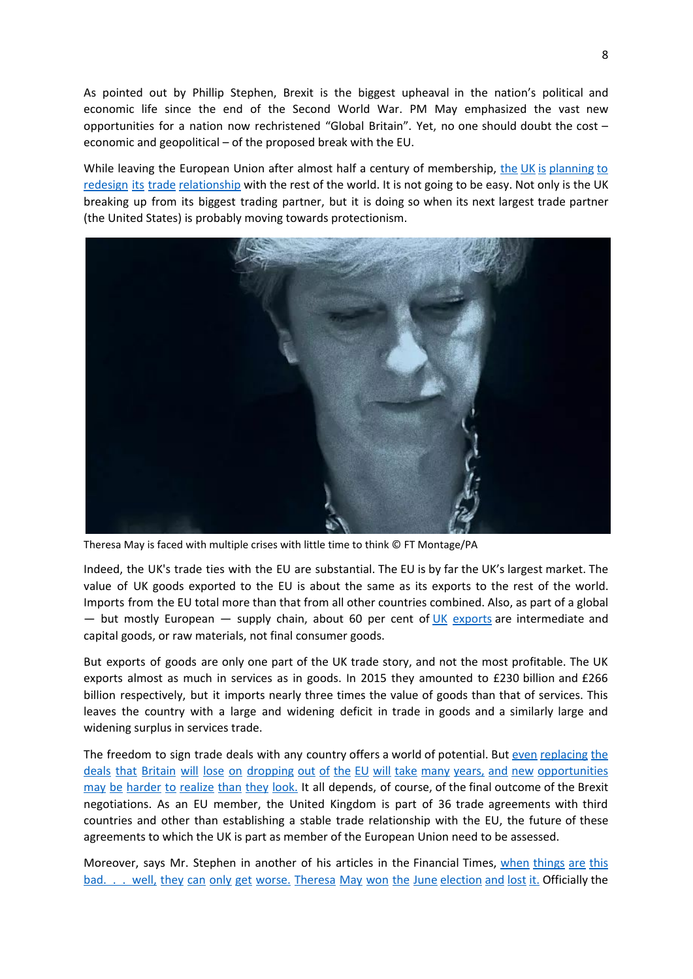As pointed out by Phillip Stephen, Brexit is the biggest upheaval in the nation's political and economic life since the end of the Second World War. PM May emphasized the vast new opportunities for a nation now rechristened "Global Britain". Yet, no one should doubt the cost – economic and geopolitical – of the proposed break with the EU.

While leaving the European Union after almost half a century of membership, the UK is [planning](https://www.ft.com/content/37aa67a0-e94e-11e6-893c-082c54a7f539) to redesign its trade [relationship](https://www.ft.com/content/37aa67a0-e94e-11e6-893c-082c54a7f539) with the rest of the world. It is not going to be easy. Not only is the UK breaking up from its biggest trading partner, but it is doing so when its next largest trade partner (the United States) is probably moving towards protectionism.



Theresa May is faced with multiple crises with little time to think © FT Montage/PA

Indeed, the UK's trade ties with the EU are substantial. The EU is by far the UK's largest market. The value of UK goods exported to the EU is about the same as its exports to the rest of the world. Imports from the EU total more than that from all other countries combined. Also, as part of a global — but mostly European — supply chain, about 60 per cent of  $UK$  [exports](http://wits.worldbank.org/CountryProfile/en/Country/WLD/Year/2014/TradeFlow/Export/Partner/all/Product/UNCTAD-SoP2) are intermediate and capital goods, or raw materials, not final consumer goods.

But exports of goods are only one part of the UK trade story, and not the most profitable. The UK exports almost as much in services as in goods. In 2015 they amounted to £230 billion and £266 billion respectively, but it imports nearly three times the value of goods than that of services. This leaves the country with a large and widening deficit in trade in goods and a similarly large and widening surplus in services trade.

The freedom to sign trade deals with any country offers a world of potential. But even [replacing](https://www.ft.com/content/37aa67a0-e94e-11e6-893c-082c54a7f539) the deals that Britain will lose on dropping out of the EU will take many years, and new [opportunities](https://www.ft.com/content/37aa67a0-e94e-11e6-893c-082c54a7f539) may be [harder](https://www.ft.com/content/37aa67a0-e94e-11e6-893c-082c54a7f539) to realize than they look. It all depends, of course, of the final outcome of the Brexit negotiations. As an EU member, the United Kingdom is part of 36 trade agreements with third countries and other than establishing a stable trade relationship with the EU, the future of these agreements to which the UK is part as member of the European Union need to be assessed.

Moreover, says Mr. Stephen in another of his articles in the Financial Times, when [things](https://www.ft.com/content/d5ceaee0-5bfa-11e7-9bc8-8055f264aa8b) are this bad. . . well, they can only get worse. Theresa May won the June [election](https://www.ft.com/content/d5ceaee0-5bfa-11e7-9bc8-8055f264aa8b) and lost it. Officially the